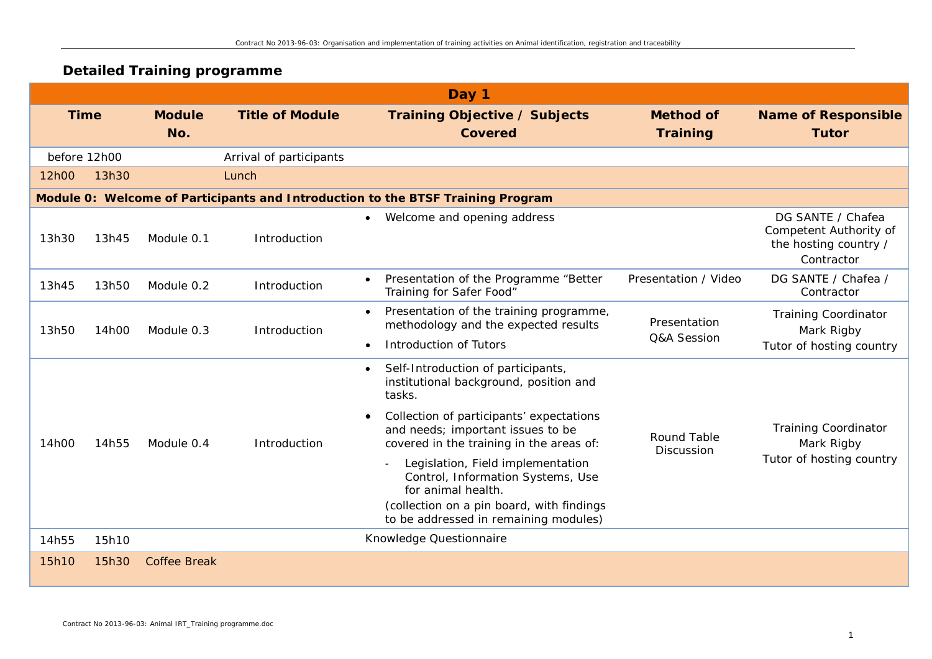## **Detailed Training programme**

|              | Day 1 |                      |                         |                                                                                                                                                                                                                                                                                                                                  |                                     |                                                                                    |  |  |
|--------------|-------|----------------------|-------------------------|----------------------------------------------------------------------------------------------------------------------------------------------------------------------------------------------------------------------------------------------------------------------------------------------------------------------------------|-------------------------------------|------------------------------------------------------------------------------------|--|--|
| <b>Time</b>  |       | <b>Module</b><br>No. | <b>Title of Module</b>  | <b>Training Objective / Subjects</b><br><b>Covered</b>                                                                                                                                                                                                                                                                           | <b>Method of</b><br><b>Training</b> | <b>Name of Responsible</b><br><b>Tutor</b>                                         |  |  |
| before 12h00 |       |                      | Arrival of participants |                                                                                                                                                                                                                                                                                                                                  |                                     |                                                                                    |  |  |
| 12h00        | 13h30 |                      | Lunch                   |                                                                                                                                                                                                                                                                                                                                  |                                     |                                                                                    |  |  |
|              |       |                      |                         | Module 0: Welcome of Participants and Introduction to the BTSF Training Program                                                                                                                                                                                                                                                  |                                     |                                                                                    |  |  |
| 13h30        | 13h45 | Module 0.1           | Introduction            | Welcome and opening address<br>$\bullet$                                                                                                                                                                                                                                                                                         |                                     | DG SANTE / Chafea<br>Competent Authority of<br>the hosting country /<br>Contractor |  |  |
| 13h45        | 13h50 | Module 0.2           | Introduction            | Presentation of the Programme "Better<br>Training for Safer Food"                                                                                                                                                                                                                                                                | Presentation / Video                | DG SANTE / Chafea /<br>Contractor                                                  |  |  |
| 13h50        | 14h00 | Module 0.3           | Introduction            | Presentation of the training programme,<br>$\bullet$<br>methodology and the expected results<br>Introduction of Tutors<br>$\bullet$                                                                                                                                                                                              | Presentation<br>Q&A Session         | <b>Training Coordinator</b><br>Mark Rigby<br>Tutor of hosting country              |  |  |
| 14h00        | 14h55 | Module 0.4           | Introduction            | Self-Introduction of participants,<br>$\bullet$<br>institutional background, position and<br>tasks.<br>Collection of participants' expectations<br>and needs; important issues to be<br>covered in the training in the areas of:<br>Legislation, Field implementation<br>Control, Information Systems, Use<br>for animal health. | <b>Round Table</b><br>Discussion    | <b>Training Coordinator</b><br>Mark Rigby<br>Tutor of hosting country              |  |  |
| 14h55        | 15h10 |                      |                         | (collection on a pin board, with findings<br>to be addressed in remaining modules)<br>Knowledge Questionnaire                                                                                                                                                                                                                    |                                     |                                                                                    |  |  |
| 15h10        | 15h30 | <b>Coffee Break</b>  |                         |                                                                                                                                                                                                                                                                                                                                  |                                     |                                                                                    |  |  |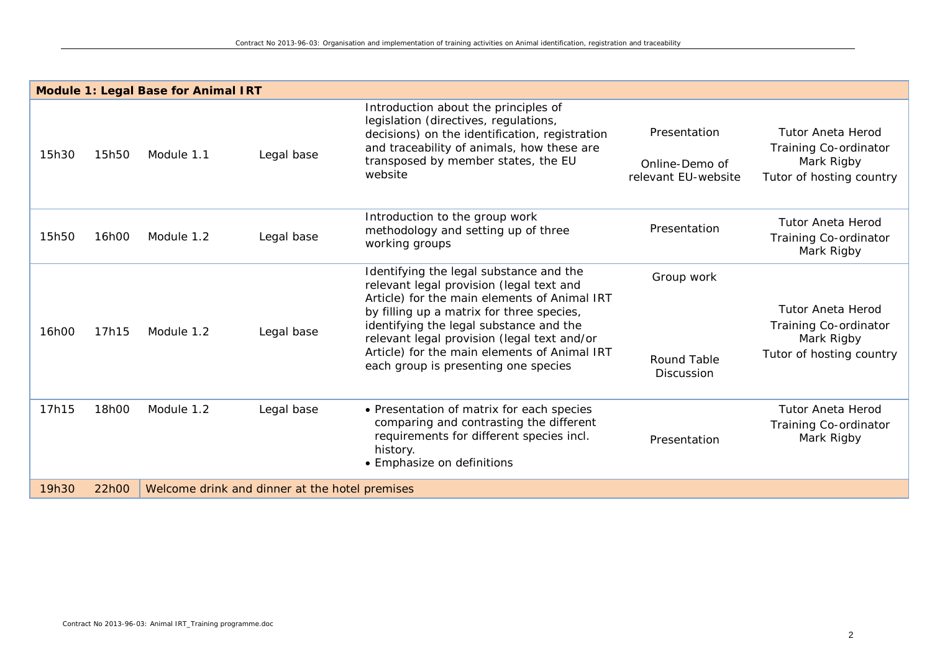|       |       | <b>Module 1: Legal Base for Animal IRT</b> |                                                |                                                                                                                                                                                                                                                                                                                                                                    |                                                       |                                                                                             |
|-------|-------|--------------------------------------------|------------------------------------------------|--------------------------------------------------------------------------------------------------------------------------------------------------------------------------------------------------------------------------------------------------------------------------------------------------------------------------------------------------------------------|-------------------------------------------------------|---------------------------------------------------------------------------------------------|
| 15h30 | 15h50 | Module 1.1                                 | Legal base                                     | Introduction about the principles of<br>legislation (directives, regulations,<br>decisions) on the identification, registration<br>and traceability of animals, how these are<br>transposed by member states, the EU<br>website                                                                                                                                    | Presentation<br>Online-Demo of<br>relevant EU-website | <b>Tutor Aneta Herod</b><br>Training Co-ordinator<br>Mark Rigby<br>Tutor of hosting country |
| 15h50 | 16h00 | Module 1.2                                 | Legal base                                     | Introduction to the group work<br>methodology and setting up of three<br>working groups                                                                                                                                                                                                                                                                            | Presentation                                          | <b>Tutor Aneta Herod</b><br>Training Co-ordinator<br>Mark Rigby                             |
| 16h00 | 17h15 | Module 1.2                                 | Legal base                                     | Identifying the legal substance and the<br>relevant legal provision (legal text and<br>Article) for the main elements of Animal IRT<br>by filling up a matrix for three species,<br>identifying the legal substance and the<br>relevant legal provision (legal text and/or<br>Article) for the main elements of Animal IRT<br>each group is presenting one species | Group work<br><b>Round Table</b><br>Discussion        | <b>Tutor Aneta Herod</b><br>Training Co-ordinator<br>Mark Rigby<br>Tutor of hosting country |
| 17h15 | 18h00 | Module 1.2                                 | Legal base                                     | • Presentation of matrix for each species<br>comparing and contrasting the different<br>requirements for different species incl.<br>history.<br>• Emphasize on definitions                                                                                                                                                                                         | Presentation                                          | <b>Tutor Aneta Herod</b><br>Training Co-ordinator<br>Mark Rigby                             |
| 19h30 | 22h00 |                                            | Welcome drink and dinner at the hotel premises |                                                                                                                                                                                                                                                                                                                                                                    |                                                       |                                                                                             |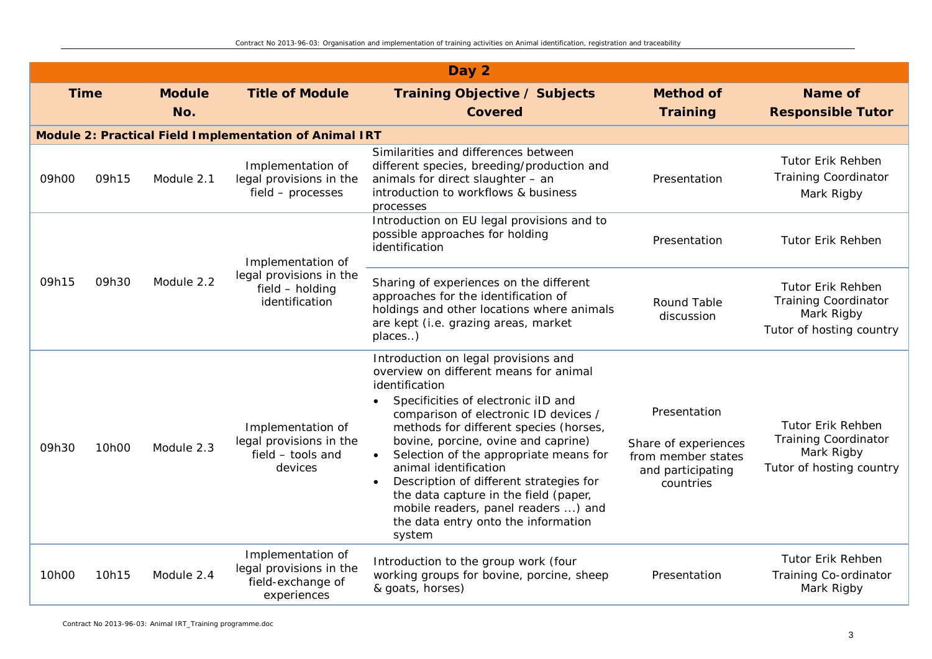|       |             |               |                                                                                  | Day 2                                                                                                                                                                                                                                                                                                                                                                                                                                                                                                                         |                                                                                              |                                                                                                   |
|-------|-------------|---------------|----------------------------------------------------------------------------------|-------------------------------------------------------------------------------------------------------------------------------------------------------------------------------------------------------------------------------------------------------------------------------------------------------------------------------------------------------------------------------------------------------------------------------------------------------------------------------------------------------------------------------|----------------------------------------------------------------------------------------------|---------------------------------------------------------------------------------------------------|
|       | <b>Time</b> | <b>Module</b> | <b>Title of Module</b>                                                           | <b>Training Objective / Subjects</b>                                                                                                                                                                                                                                                                                                                                                                                                                                                                                          | <b>Method of</b>                                                                             | Name of                                                                                           |
|       |             | No.           |                                                                                  | <b>Covered</b>                                                                                                                                                                                                                                                                                                                                                                                                                                                                                                                | <b>Training</b>                                                                              | <b>Responsible Tutor</b>                                                                          |
|       |             |               | Module 2: Practical Field Implementation of Animal IRT                           |                                                                                                                                                                                                                                                                                                                                                                                                                                                                                                                               |                                                                                              |                                                                                                   |
| 09h00 | 09h15       | Module 2.1    | Implementation of<br>legal provisions in the<br>field - processes                | Similarities and differences between<br>different species, breeding/production and<br>animals for direct slaughter - an<br>introduction to workflows & business<br>processes                                                                                                                                                                                                                                                                                                                                                  | Presentation                                                                                 | <b>Tutor Erik Rehben</b><br><b>Training Coordinator</b><br>Mark Rigby                             |
|       |             |               | Implementation of                                                                | Introduction on EU legal provisions and to<br>possible approaches for holding<br>identification                                                                                                                                                                                                                                                                                                                                                                                                                               | Presentation                                                                                 | Tutor Erik Rehben                                                                                 |
| 09h15 | 09h30       | Module 2.2    | legal provisions in the<br>field - holding<br>identification                     | Sharing of experiences on the different<br>approaches for the identification of<br>holdings and other locations where animals<br>are kept (i.e. grazing areas, market<br>places)                                                                                                                                                                                                                                                                                                                                              | Round Table<br>discussion                                                                    | <b>Tutor Erik Rehben</b><br><b>Training Coordinator</b><br>Mark Rigby<br>Tutor of hosting country |
| 09h30 | 10h00       | Module 2.3    | Implementation of<br>legal provisions in the<br>field - tools and<br>devices     | Introduction on legal provisions and<br>overview on different means for animal<br>identification<br>Specificities of electronic iID and<br>$\bullet$<br>comparison of electronic ID devices /<br>methods for different species (horses,<br>bovine, porcine, ovine and caprine)<br>Selection of the appropriate means for<br>animal identification<br>Description of different strategies for<br>the data capture in the field (paper,<br>mobile readers, panel readers ) and<br>the data entry onto the information<br>system | Presentation<br>Share of experiences<br>from member states<br>and participating<br>countries | <b>Tutor Erik Rehben</b><br><b>Training Coordinator</b><br>Mark Rigby<br>Tutor of hosting country |
| 10h00 | 10h15       | Module 2.4    | Implementation of<br>legal provisions in the<br>field-exchange of<br>experiences | Introduction to the group work (four<br>working groups for bovine, porcine, sheep<br>& goats, horses)                                                                                                                                                                                                                                                                                                                                                                                                                         | Presentation                                                                                 | Tutor Erik Rehben<br>Training Co-ordinator<br>Mark Rigby                                          |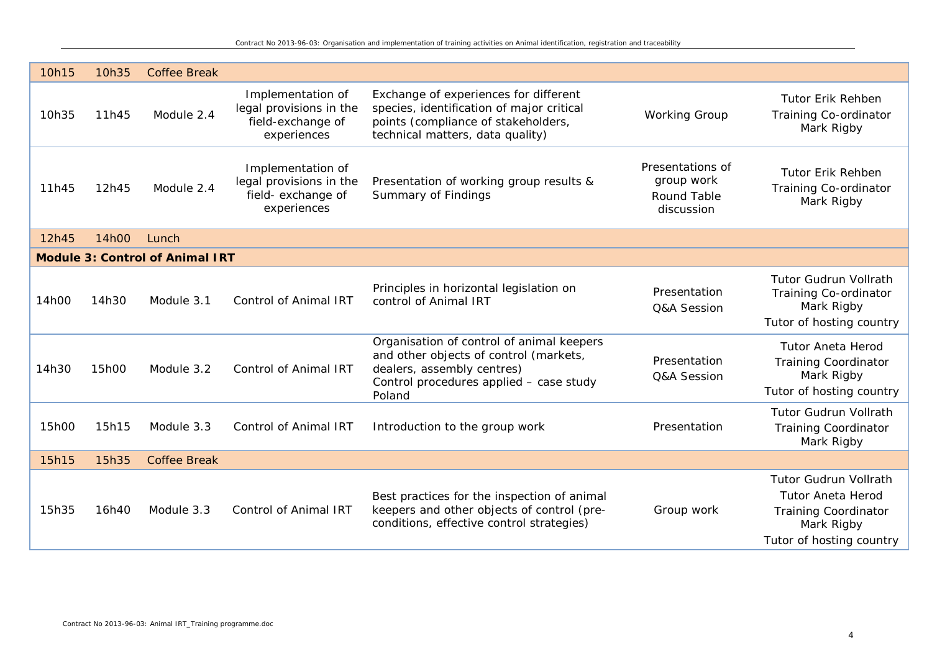| 10h15 | 10h35 | <b>Coffee Break</b>                    |                                                                                   |                                                                                                                                                                        |                                                             |                                                                                                                                   |
|-------|-------|----------------------------------------|-----------------------------------------------------------------------------------|------------------------------------------------------------------------------------------------------------------------------------------------------------------------|-------------------------------------------------------------|-----------------------------------------------------------------------------------------------------------------------------------|
| 10h35 | 11h45 | Module 2.4                             | Implementation of<br>legal provisions in the<br>field-exchange of<br>experiences  | Exchange of experiences for different<br>species, identification of major critical<br>points (compliance of stakeholders,<br>technical matters, data quality)          | <b>Working Group</b>                                        | <b>Tutor Erik Rehben</b><br>Training Co-ordinator<br>Mark Rigby                                                                   |
| 11h45 | 12h45 | Module 2.4                             | Implementation of<br>legal provisions in the<br>field- exchange of<br>experiences | Presentation of working group results &<br>Summary of Findings                                                                                                         | Presentations of<br>group work<br>Round Table<br>discussion | <b>Tutor Erik Rehben</b><br>Training Co-ordinator<br>Mark Rigby                                                                   |
| 12h45 | 14h00 | Lunch                                  |                                                                                   |                                                                                                                                                                        |                                                             |                                                                                                                                   |
|       |       | <b>Module 3: Control of Animal IRT</b> |                                                                                   |                                                                                                                                                                        |                                                             |                                                                                                                                   |
| 14h00 | 14h30 | Module 3.1                             | <b>Control of Animal IRT</b>                                                      | Principles in horizontal legislation on<br>control of Animal IRT                                                                                                       | Presentation<br>Q&A Session                                 | <b>Tutor Gudrun Vollrath</b><br>Training Co-ordinator<br>Mark Rigby<br>Tutor of hosting country                                   |
| 14h30 | 15h00 | Module 3.2                             | <b>Control of Animal IRT</b>                                                      | Organisation of control of animal keepers<br>and other objects of control (markets,<br>dealers, assembly centres)<br>Control procedures applied - case study<br>Poland | Presentation<br>Q&A Session                                 | <b>Tutor Aneta Herod</b><br><b>Training Coordinator</b><br>Mark Rigby<br>Tutor of hosting country                                 |
| 15h00 | 15h15 | Module 3.3                             | <b>Control of Animal IRT</b>                                                      | Introduction to the group work                                                                                                                                         | Presentation                                                | <b>Tutor Gudrun Vollrath</b><br><b>Training Coordinator</b><br>Mark Rigby                                                         |
| 15h15 | 15h35 | <b>Coffee Break</b>                    |                                                                                   |                                                                                                                                                                        |                                                             |                                                                                                                                   |
| 15h35 | 16h40 | Module 3.3                             | <b>Control of Animal IRT</b>                                                      | Best practices for the inspection of animal<br>keepers and other objects of control (pre-<br>conditions, effective control strategies)                                 | Group work                                                  | <b>Tutor Gudrun Vollrath</b><br><b>Tutor Aneta Herod</b><br><b>Training Coordinator</b><br>Mark Rigby<br>Tutor of hosting country |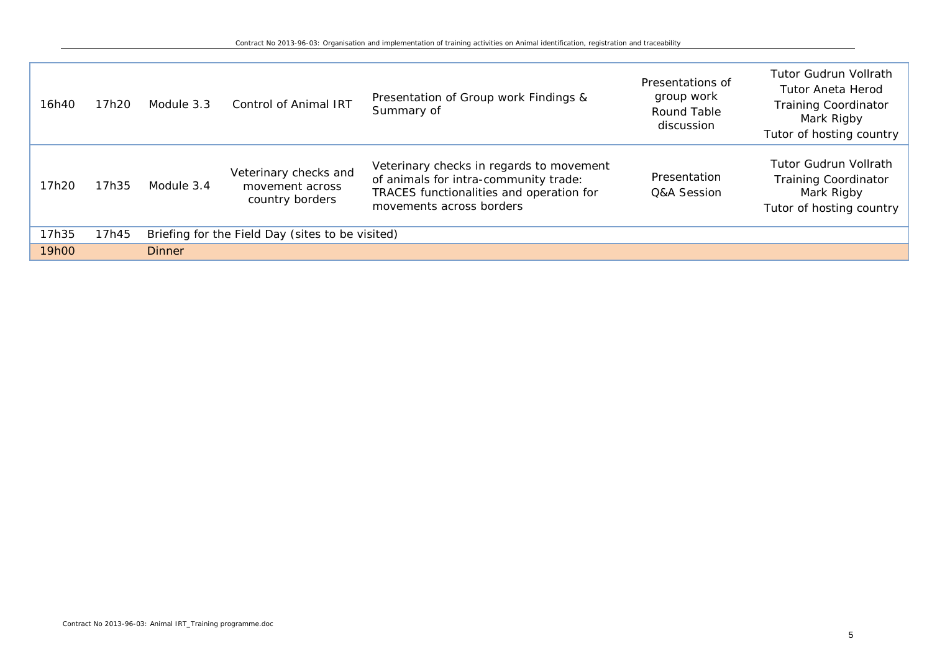| 16h40 | 17h20 | Module 3.3    | <b>Control of Animal IRT</b>                                | Presentation of Group work Findings &<br>Summary of                                                                                                       | Presentations of<br>group work<br>Round Table<br>discussion | <b>Tutor Gudrun Vollrath</b><br>Tutor Aneta Herod<br><b>Training Coordinator</b><br>Mark Rigby<br>Tutor of hosting country |
|-------|-------|---------------|-------------------------------------------------------------|-----------------------------------------------------------------------------------------------------------------------------------------------------------|-------------------------------------------------------------|----------------------------------------------------------------------------------------------------------------------------|
| 17h20 | 17h35 | Module 3.4    | Veterinary checks and<br>movement across<br>country borders | Veterinary checks in regards to movement<br>of animals for intra-community trade:<br>TRACES functionalities and operation for<br>movements across borders | Presentation<br>Q&A Session                                 | <b>Tutor Gudrun Vollrath</b><br><b>Training Coordinator</b><br>Mark Rigby<br>Tutor of hosting country                      |
| 17h35 | 17h45 |               | Briefing for the Field Day (sites to be visited)            |                                                                                                                                                           |                                                             |                                                                                                                            |
| 19h00 |       | <b>Dinner</b> |                                                             |                                                                                                                                                           |                                                             |                                                                                                                            |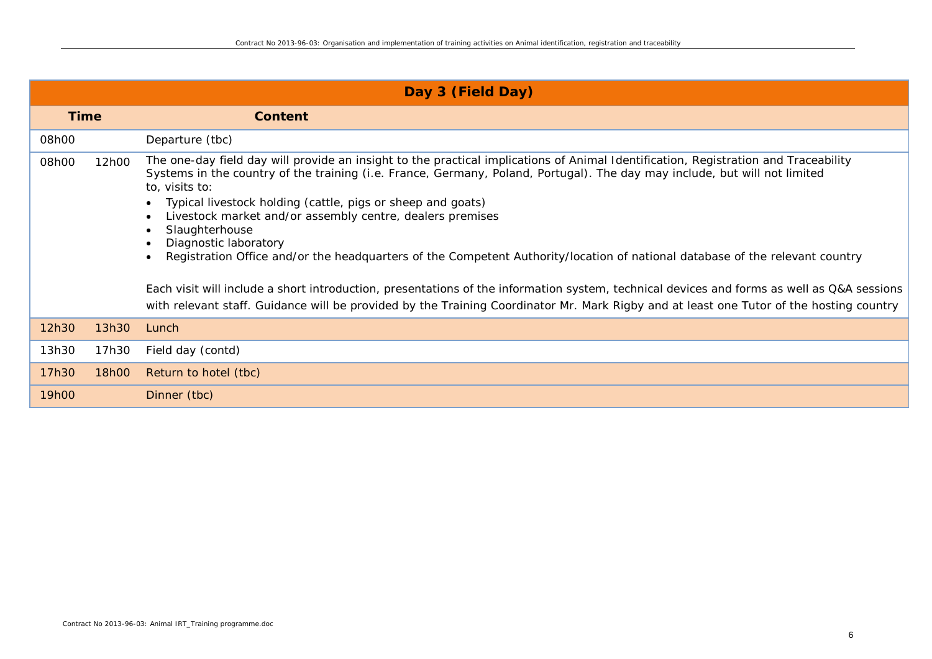|             | Day 3 (Field Day) |                                                                                                                                                                                                                                                                                                                                                                                                                                                                                                                                                                                                                                                                                                                                                                                                                                                                                     |  |  |  |  |  |  |
|-------------|-------------------|-------------------------------------------------------------------------------------------------------------------------------------------------------------------------------------------------------------------------------------------------------------------------------------------------------------------------------------------------------------------------------------------------------------------------------------------------------------------------------------------------------------------------------------------------------------------------------------------------------------------------------------------------------------------------------------------------------------------------------------------------------------------------------------------------------------------------------------------------------------------------------------|--|--|--|--|--|--|
| <b>Time</b> |                   | <b>Content</b>                                                                                                                                                                                                                                                                                                                                                                                                                                                                                                                                                                                                                                                                                                                                                                                                                                                                      |  |  |  |  |  |  |
| 08h00       |                   | Departure (tbc)                                                                                                                                                                                                                                                                                                                                                                                                                                                                                                                                                                                                                                                                                                                                                                                                                                                                     |  |  |  |  |  |  |
| 08h00       | 12h00             | The one-day field day will provide an insight to the practical implications of Animal Identification, Registration and Traceability<br>Systems in the country of the training (i.e. France, Germany, Poland, Portugal). The day may include, but will not limited<br>to, visits to:<br>Typical livestock holding (cattle, pigs or sheep and goats)<br>Livestock market and/or assembly centre, dealers premises<br>Slaughterhouse<br>Diagnostic laboratory<br>Registration Office and/or the headquarters of the Competent Authority/location of national database of the relevant country<br>Each visit will include a short introduction, presentations of the information system, technical devices and forms as well as Q&A sessions<br>with relevant staff. Guidance will be provided by the Training Coordinator Mr. Mark Rigby and at least one Tutor of the hosting country |  |  |  |  |  |  |
| 12h30       | 13h30             | Lunch                                                                                                                                                                                                                                                                                                                                                                                                                                                                                                                                                                                                                                                                                                                                                                                                                                                                               |  |  |  |  |  |  |
| 13h30       | 17h30             | Field day (contd)                                                                                                                                                                                                                                                                                                                                                                                                                                                                                                                                                                                                                                                                                                                                                                                                                                                                   |  |  |  |  |  |  |
| 17h30       | 18h00             | Return to hotel (tbc)                                                                                                                                                                                                                                                                                                                                                                                                                                                                                                                                                                                                                                                                                                                                                                                                                                                               |  |  |  |  |  |  |
| 19h00       |                   | Dinner (tbc)                                                                                                                                                                                                                                                                                                                                                                                                                                                                                                                                                                                                                                                                                                                                                                                                                                                                        |  |  |  |  |  |  |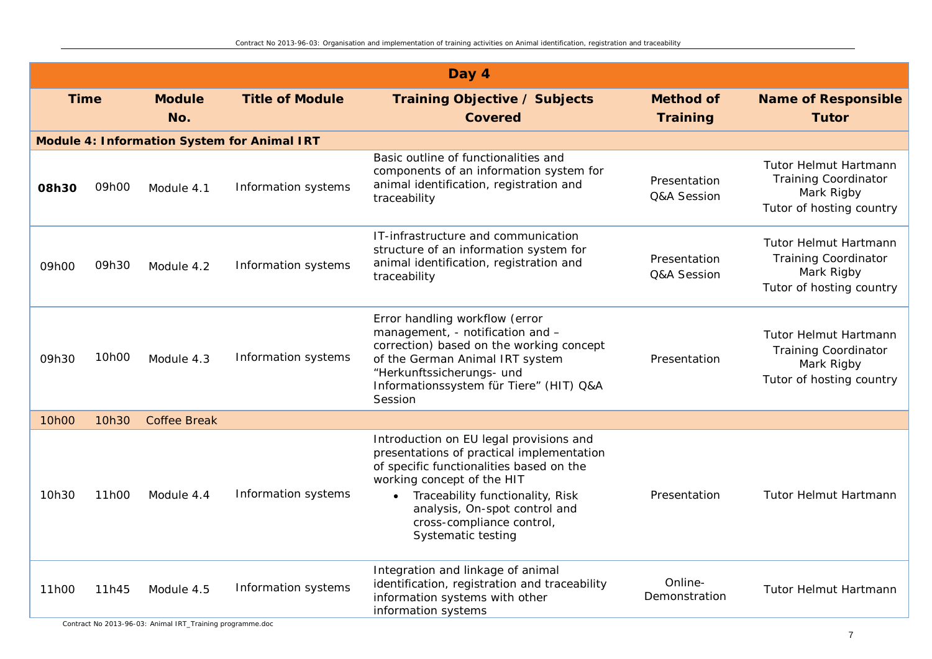|       |             |                      |                                                    | Day 4                                                                                                                                                                                                                                                                                  |                                     |                                                                                                       |
|-------|-------------|----------------------|----------------------------------------------------|----------------------------------------------------------------------------------------------------------------------------------------------------------------------------------------------------------------------------------------------------------------------------------------|-------------------------------------|-------------------------------------------------------------------------------------------------------|
|       | <b>Time</b> | <b>Module</b><br>No. | <b>Title of Module</b>                             | <b>Training Objective / Subjects</b><br><b>Covered</b>                                                                                                                                                                                                                                 | <b>Method of</b><br><b>Training</b> | <b>Name of Responsible</b><br><b>Tutor</b>                                                            |
|       |             |                      | <b>Module 4: Information System for Animal IRT</b> |                                                                                                                                                                                                                                                                                        |                                     |                                                                                                       |
| 08h30 | 09h00       | Module 4.1           | Information systems                                | Basic outline of functionalities and<br>components of an information system for<br>animal identification, registration and<br>traceability                                                                                                                                             | Presentation<br>Q&A Session         | <b>Tutor Helmut Hartmann</b><br><b>Training Coordinator</b><br>Mark Rigby<br>Tutor of hosting country |
| 09h00 | 09h30       | Module 4.2           | Information systems                                | IT-infrastructure and communication<br>structure of an information system for<br>animal identification, registration and<br>traceability                                                                                                                                               | Presentation<br>Q&A Session         | Tutor Helmut Hartmann<br><b>Training Coordinator</b><br>Mark Rigby<br>Tutor of hosting country        |
| 09h30 | 10h00       | Module 4.3           | Information systems                                | Error handling workflow (error<br>management, - notification and -<br>correction) based on the working concept<br>of the German Animal IRT system<br>"Herkunftssicherungs- und<br>Informationssystem für Tiere" (HIT) Q&A<br>Session                                                   | Presentation                        | <b>Tutor Helmut Hartmann</b><br><b>Training Coordinator</b><br>Mark Rigby<br>Tutor of hosting country |
| 10h00 | 10h30       | <b>Coffee Break</b>  |                                                    |                                                                                                                                                                                                                                                                                        |                                     |                                                                                                       |
| 10h30 | 11h00       | Module 4.4           | Information systems                                | Introduction on EU legal provisions and<br>presentations of practical implementation<br>of specific functionalities based on the<br>working concept of the HIT<br>Traceability functionality, Risk<br>analysis, On-spot control and<br>cross-compliance control,<br>Systematic testing | Presentation                        | Tutor Helmut Hartmann                                                                                 |
| 11h00 | 11h45       | Module 4.5           | Information systems                                | Integration and linkage of animal<br>identification, registration and traceability<br>information systems with other<br>information systems                                                                                                                                            | Online-<br>Demonstration            | Tutor Helmut Hartmann                                                                                 |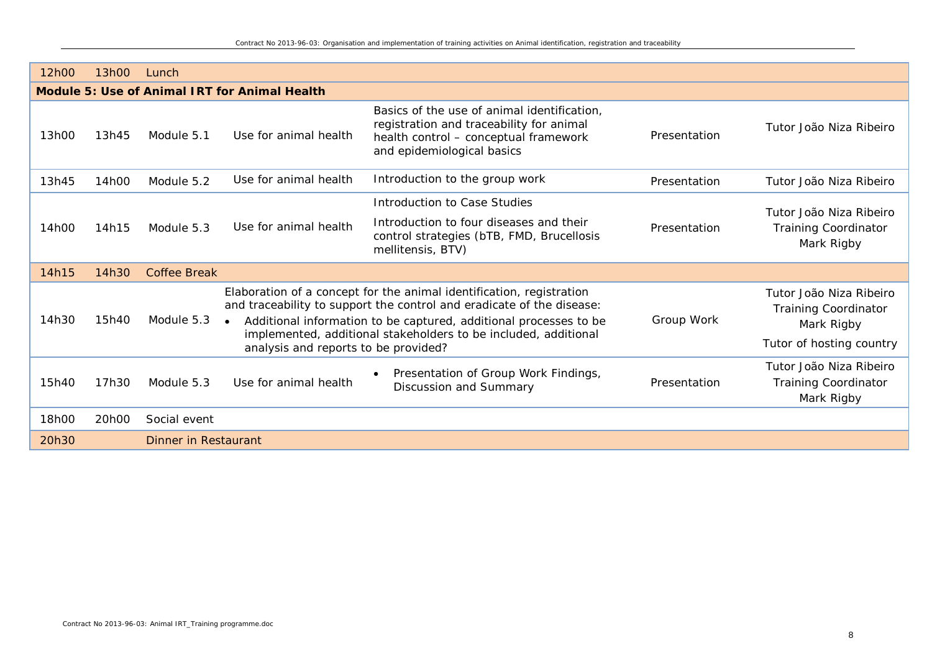| 12h00 | 13h00                                         | Lunch                       |                       |                                                                                                                                                                                                                                                                                                                               |              |                                                                                                  |  |  |
|-------|-----------------------------------------------|-----------------------------|-----------------------|-------------------------------------------------------------------------------------------------------------------------------------------------------------------------------------------------------------------------------------------------------------------------------------------------------------------------------|--------------|--------------------------------------------------------------------------------------------------|--|--|
|       | Module 5: Use of Animal IRT for Animal Health |                             |                       |                                                                                                                                                                                                                                                                                                                               |              |                                                                                                  |  |  |
| 13h00 | 13h45                                         | Module 5.1                  | Use for animal health | Basics of the use of animal identification,<br>registration and traceability for animal<br>health control - conceptual framework<br>and epidemiological basics                                                                                                                                                                | Presentation | Tutor João Niza Ribeiro                                                                          |  |  |
| 13h45 | 14h00                                         | Module 5.2                  | Use for animal health | Introduction to the group work                                                                                                                                                                                                                                                                                                | Presentation | Tutor João Niza Ribeiro                                                                          |  |  |
|       |                                               |                             |                       | Introduction to Case Studies                                                                                                                                                                                                                                                                                                  |              | Tutor João Niza Ribeiro                                                                          |  |  |
| 14h00 | 14h15                                         | Module 5.3                  | Use for animal health | Introduction to four diseases and their<br>control strategies (bTB, FMD, Brucellosis<br>mellitensis, BTV)                                                                                                                                                                                                                     | Presentation | <b>Training Coordinator</b><br>Mark Rigby                                                        |  |  |
| 14h15 | 14h30                                         | <b>Coffee Break</b>         |                       |                                                                                                                                                                                                                                                                                                                               |              |                                                                                                  |  |  |
| 14h30 | 15h40                                         | Module 5.3                  | $\bullet$             | Elaboration of a concept for the animal identification, registration<br>and traceability to support the control and eradicate of the disease:<br>Additional information to be captured, additional processes to be<br>implemented, additional stakeholders to be included, additional<br>analysis and reports to be provided? |              | Tutor João Niza Ribeiro<br><b>Training Coordinator</b><br>Mark Rigby<br>Tutor of hosting country |  |  |
| 15h40 | 17h30                                         | Module 5.3                  | Use for animal health | Presentation of Group Work Findings,<br>Discussion and Summary                                                                                                                                                                                                                                                                | Presentation | Tutor João Niza Ribeiro<br><b>Training Coordinator</b><br>Mark Rigby                             |  |  |
| 18h00 | 20h00                                         | Social event                |                       |                                                                                                                                                                                                                                                                                                                               |              |                                                                                                  |  |  |
| 20h30 |                                               | <b>Dinner in Restaurant</b> |                       |                                                                                                                                                                                                                                                                                                                               |              |                                                                                                  |  |  |